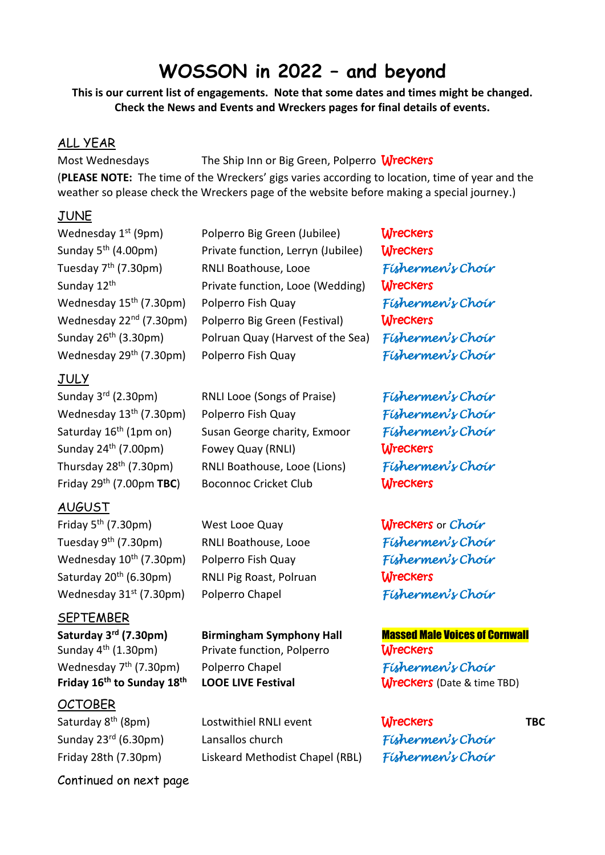# **WOSSON in 2022 – and beyond**

**This is our current list of engagements. Note that some dates and times might be changed. Check the News and Events and Wreckers pages for final details of events.**

#### ALL YEAR

Most Wednesdays The Ship Inn or Big Green, Polperro Wreckers

(**PLEASE NOTE:** The time of the Wreckers' gigs varies according to location, time of year and the weather so please check the Wreckers page of the website before making a special journey.)

#### JUNE

### JULY

Sunday  $3<sup>rd</sup>$  (2.30pm) Saturday 16<sup>th</sup> (1pm on) Sunday 24<sup>th</sup> (7.00pm)

#### AUGUST

Friday 5<sup>th</sup> (7.30pm) West Looe Quay Wreckers or *Choir* Tuesday 9<sup>th</sup> (7.30pm) Wednesday 10th (7.30pm) Polperro Fish Quay *Fishermen's Choir* Saturday 20<sup>th</sup> (6.30pm) Wednesday 31st (7.30pm) Polperro Chapel *Fishermen's Choir*

**SEPTEMBER** 

### Wednesday 7<sup>th</sup> (7.30pm) **Friday 16<sup>th</sup> to Sunday 18<sup>th</sup> LOOE LIVE Festival Wreckers (Date & time TBD)**

# **OCTOBER**

Continued on next page

| Wednesday 1 <sup>st</sup> (9pm)     | Polperro Big Green (Jubilee)       | <b>Wreckers</b>   |
|-------------------------------------|------------------------------------|-------------------|
| Sunday 5 <sup>th</sup> (4.00pm)     | Private function, Lerryn (Jubilee) | <b>Wreckers</b>   |
| Tuesday 7 <sup>th</sup> (7.30pm)    | RNLI Boathouse, Looe               | Fishermen's Choir |
| Sunday 12th                         | Private function, Looe (Wedding)   | <b>Wreckers</b>   |
| Wednesday 15 <sup>th</sup> (7.30pm) | Polperro Fish Quay                 | Fishermen's Choir |
| Wednesday 22 <sup>nd</sup> (7.30pm) | Polperro Big Green (Festival)      | <b>Wreckers</b>   |
| Sunday $26th$ (3.30pm)              | Polruan Quay (Harvest of the Sea)  | Fishermen's Choir |
| Wednesday 29 <sup>th</sup> (7.30pm) | Polperro Fish Quay                 | Fishermen's Choir |

rd (2.30pm) RNLI Looe (Songs of Praise) *Fishermen's Choir* Wednesday 13th (7.30pm) Polperro Fish Quay *Fishermen's Choir*  Susan George charity, Exmoor *Fishermen's Choir* Fowey Quay (RNLI) **Wreckers** Thursday 28th (7.30pm) RNLI Boathouse, Looe (Lions) *Fishermen's Choir* Friday 29<sup>th</sup> (7.00pm **TBC**) Boconnoc Cricket Club **Wreckers** 

RNLI Pig Roast, Polruan Wreckers

Sunday 4<sup>th</sup> (1.30pm) Private function, Polperro **Wreckers** th (7.30pm) Polperro Chapel *Fishermen's Choir* 

Saturday 8<sup>th</sup> (8pm) Lostwithiel RNLI event **Wreckers** TBC Sunday 23rd (6.30pm) Lansallos church *Fishermen's Choir* Friday 28th (7.30pm) Liskeard Methodist Chapel (RBL) *Fishermen's Choir*

th (7.30pm) RNLI Boathouse, Looe *Fishermen's Choir*

**Saturday 3rd (7.30pm) Birmingham Symphony Hall** Massed Male Voices of Cornwall